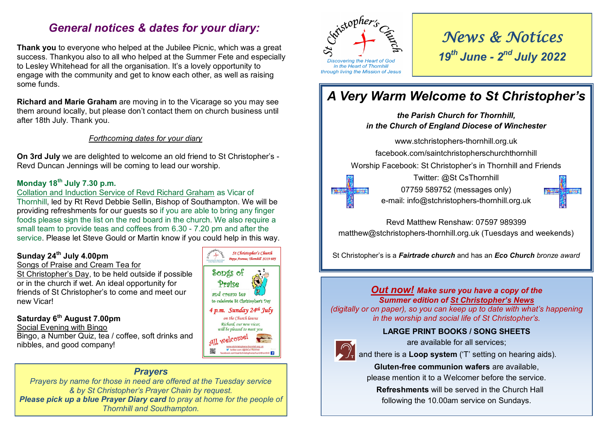# *General notices & dates for your diary:*

**Thank you** to everyone who helped at the Jubilee Picnic, which was a great success. Thankyou also to all who helped at the Summer Fete and especially to Lesley Whitehead for all the organisation. It's a lovely opportunity to engage with the community and get to know each other, as well as raising some funds.

**Richard and Marie Graham** are moving in to the Vicarage so you may see them around locally, but please don't contact them on church business until after 18th July. Thank you.

#### *Forthcoming dates for your diary*

**On 3rd July** we are delighted to welcome an old friend to St Christopher's - Revd Duncan Jennings will be coming to lead our worship.

#### **Monday 18th July 7.30 p.m.**

Collation and Induction Service of Revd Richard Graham as Vicar of Thornhill, led by Rt Revd Debbie Sellin, Bishop of Southampton. We will be providing refreshments for our guests so if you are able to bring any finger foods please sign the list on the red board in the church. We also require a small team to provide teas and coffees from 6.30 - 7.20 pm and after the service. Please let Steve Gould or Martin know if you could help in this way.

#### **Sunday 24th July 4.00pm**

#### Songs of Praise and Cream Tea for

St Christopher's Day, to be held outside if possible or in the church if wet. An ideal opportunity for friends of St Christopher's to come and meet our new Vicar!

### **Saturday 6th August 7.00pm**

Social Evening with Bingo

Bingo, a Number Quiz, tea / coffee, soft drinks and nibbles, and good company!

### *Prayers*

*Prayers by name for those in need are offered at the Tuesday service & by St Christopher's Prayer Chain by request. Please pick up a blue Prayer Diary card to pray at home for the people of Thornhill and Southampton.*





*News & Notices 19th June - 2 nd July 2022*

# *A Very Warm Welcome to St Christopher's*

# *the Parish Church for Thornhill, in the Church of England Diocese of Winchester* www.stchristophers-thornhill.org.uk facebook.com/saintchristopherschurchthornhill Worship Facebook: St Christopher's in Thornhill and Friends Twitter: @St CsThornhill 07759 589752 (messages only) 第1番 e-mail: info@stchristophers-thornhill.org.uk

Revd Matthew Renshaw: 07597 989399 matthew@stchristophers-thornhill.org.uk (Tuesdays and weekends)

St Christopher's is a *Fairtrade church* and has an *Eco Church bronze award*

#### *Out now! Make sure you have a copy of the Summer edition of St Christopher's News*

*(digitally or on paper), so you can keep up to date with what's happening in the worship and social life of St Christopher's.*

#### **LARGE PRINT BOOKS / SONG SHEETS**



are available for all services;

and there is a **Loop system** ('T' setting on hearing aids).

**Gluten-free communion wafers** are available, please mention it to a Welcomer before the service.

 **Refreshments** will be served in the Church Hall following the 10.00am service on Sundays.